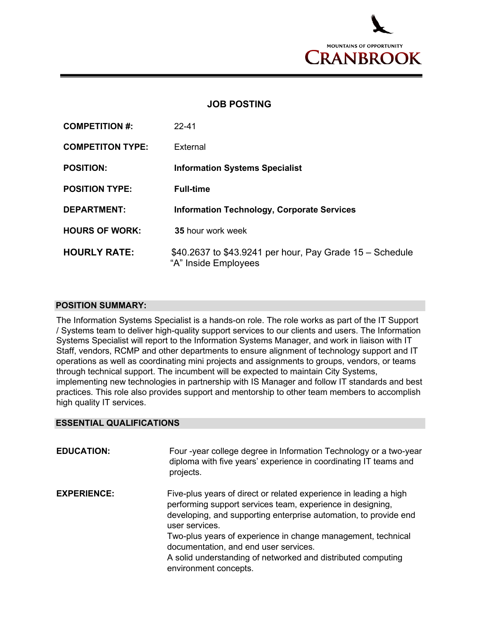

## **JOB POSTING**

| <b>COMPETITION #:</b>   | $22 - 41$                                                                        |
|-------------------------|----------------------------------------------------------------------------------|
| <b>COMPETITON TYPE:</b> | External                                                                         |
| <b>POSITION:</b>        | <b>Information Systems Specialist</b>                                            |
| <b>POSITION TYPE:</b>   | <b>Full-time</b>                                                                 |
| <b>DEPARTMENT:</b>      | <b>Information Technology, Corporate Services</b>                                |
| <b>HOURS OF WORK:</b>   | 35 hour work week                                                                |
| <b>HOURLY RATE:</b>     | \$40.2637 to \$43.9241 per hour, Pay Grade 15 – Schedule<br>"A" Inside Employees |

## **POSITION SUMMARY:**

The Information Systems Specialist is a hands-on role. The role works as part of the IT Support / Systems team to deliver high-quality support services to our clients and users. The Information Systems Specialist will report to the Information Systems Manager, and work in liaison with IT Staff, vendors, RCMP and other departments to ensure alignment of technology support and IT operations as well as coordinating mini projects and assignments to groups, vendors, or teams through technical support. The incumbent will be expected to maintain City Systems, implementing new technologies in partnership with IS Manager and follow IT standards and best practices. This role also provides support and mentorship to other team members to accomplish high quality IT services.

## **ESSENTIAL QUALIFICATIONS**

| <b>EDUCATION:</b>  | Four -year college degree in Information Technology or a two-year<br>diploma with five years' experience in coordinating IT teams and<br>projects.                                                                                                                                                                             |
|--------------------|--------------------------------------------------------------------------------------------------------------------------------------------------------------------------------------------------------------------------------------------------------------------------------------------------------------------------------|
| <b>EXPERIENCE:</b> | Five-plus years of direct or related experience in leading a high<br>performing support services team, experience in designing,<br>developing, and supporting enterprise automation, to provide end<br>user services.<br>Two-plus years of experience in change management, technical<br>documentation, and end user services. |
|                    | A solid understanding of networked and distributed computing<br>environment concepts.                                                                                                                                                                                                                                          |